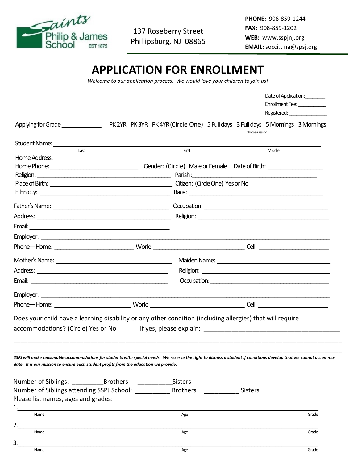

137 Roseberry Street Phillipsburg, NJ 08865

**PHONE:** 908-859-1244 **FAX:** 908-859-1202 **WEB:** www.sspjnj.org **EMAIL:** socci.tina@spsj.org

## **APPLICATION FOR ENROLLMENT**

*Welcome to our application process. We would love your children to join us!*

|                                                                                                                                                                                                                                                            |                                   | Date of Application:                             |  |
|------------------------------------------------------------------------------------------------------------------------------------------------------------------------------------------------------------------------------------------------------------|-----------------------------------|--------------------------------------------------|--|
|                                                                                                                                                                                                                                                            |                                   | Enrollment Fee:                                  |  |
|                                                                                                                                                                                                                                                            |                                   | Registered: National Property of the Registered: |  |
| Applying for Grade ______________. PK 2YR PK 3YR PK 4YR (Circle One) 5 Full days 3 Full days 5 Mornings 3 Mornings                                                                                                                                         |                                   | Choose a session                                 |  |
|                                                                                                                                                                                                                                                            |                                   |                                                  |  |
| Last                                                                                                                                                                                                                                                       | First                             | Middle                                           |  |
|                                                                                                                                                                                                                                                            |                                   |                                                  |  |
| Religion: Parish : Parish : Parish : Parish : Parish : Parish : Parish : Parish : Parish : Parish : Parish : Parish : Parish : Parish : Parish : Parish : Parish : Parish : Parish : Parish : Parish : Parish : Parish : Paris                             |                                   |                                                  |  |
|                                                                                                                                                                                                                                                            |                                   |                                                  |  |
|                                                                                                                                                                                                                                                            |                                   |                                                  |  |
|                                                                                                                                                                                                                                                            |                                   |                                                  |  |
|                                                                                                                                                                                                                                                            |                                   |                                                  |  |
|                                                                                                                                                                                                                                                            |                                   |                                                  |  |
|                                                                                                                                                                                                                                                            |                                   |                                                  |  |
|                                                                                                                                                                                                                                                            |                                   |                                                  |  |
|                                                                                                                                                                                                                                                            |                                   |                                                  |  |
|                                                                                                                                                                                                                                                            |                                   |                                                  |  |
|                                                                                                                                                                                                                                                            |                                   |                                                  |  |
|                                                                                                                                                                                                                                                            |                                   |                                                  |  |
|                                                                                                                                                                                                                                                            |                                   |                                                  |  |
|                                                                                                                                                                                                                                                            |                                   |                                                  |  |
| Does your child have a learning disability or any other condition (including allergies) that will require<br>accommodations? (Circle) Yes or No                                                                                                            |                                   |                                                  |  |
| SSPJ will make reasonable accommodations for students with special needs. We reserve the right to dismiss a student if conditions develop that we cannot accommo-<br>date. It is our mission to ensure each student profits from the education we provide. |                                   |                                                  |  |
|                                                                                                                                                                                                                                                            |                                   |                                                  |  |
| Number of Siblings: Brothers Sisters                                                                                                                                                                                                                       | <b>Brothers</b><br><b>Sisters</b> |                                                  |  |
| Number of Siblings attending SSPJ School:                                                                                                                                                                                                                  |                                   |                                                  |  |
| Please list names, ages and grades:                                                                                                                                                                                                                        |                                   |                                                  |  |
| 1.                                                                                                                                                                                                                                                         |                                   |                                                  |  |
| Name                                                                                                                                                                                                                                                       | Age                               | Grade                                            |  |
| 2.<br>Name                                                                                                                                                                                                                                                 | Age                               | Grade                                            |  |